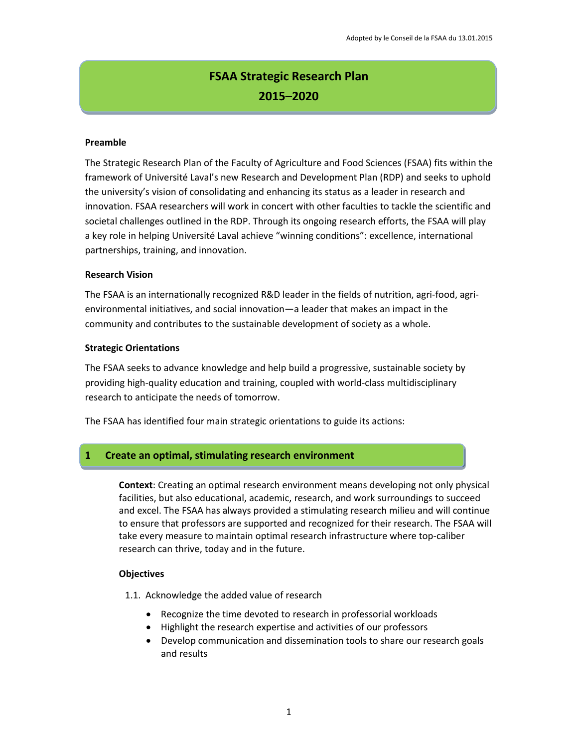# **FSAA Strategic Research Plan 2015–2020**

#### **Preamble**

The Strategic Research Plan of the Faculty of Agriculture and Food Sciences (FSAA) fits within the framework of Université Laval's new Research and Development Plan (RDP) and seeks to uphold the university's vision of consolidating and enhancing its status as a leader in research and innovation. FSAA researchers will work in concert with other faculties to tackle the scientific and societal challenges outlined in the RDP. Through its ongoing research efforts, the FSAA will play a key role in helping Université Laval achieve "winning conditions": excellence, international partnerships, training, and innovation.

#### **Research Vision**

The FSAA is an internationally recognized R&D leader in the fields of nutrition, agri-food, agrienvironmental initiatives, and social innovation—a leader that makes an impact in the community and contributes to the sustainable development of society as a whole.

#### **Strategic Orientations**

The FSAA seeks to advance knowledge and help build a progressive, sustainable society by providing high-quality education and training, coupled with world-class multidisciplinary research to anticipate the needs of tomorrow.

The FSAA has identified four main strategic orientations to guide its actions:

## **1 Create an optimal, stimulating research environment**

**Context**: Creating an optimal research environment means developing not only physical facilities, but also educational, academic, research, and work surroundings to succeed and excel. The FSAA has always provided a stimulating research milieu and will continue to ensure that professors are supported and recognized for their research. The FSAA will take every measure to maintain optimal research infrastructure where top-caliber research can thrive, today and in the future.

#### **Objectives**

1.1. Acknowledge the added value of research

- Recognize the time devoted to research in professorial workloads
- Highlight the research expertise and activities of our professors
- Develop communication and dissemination tools to share our research goals and results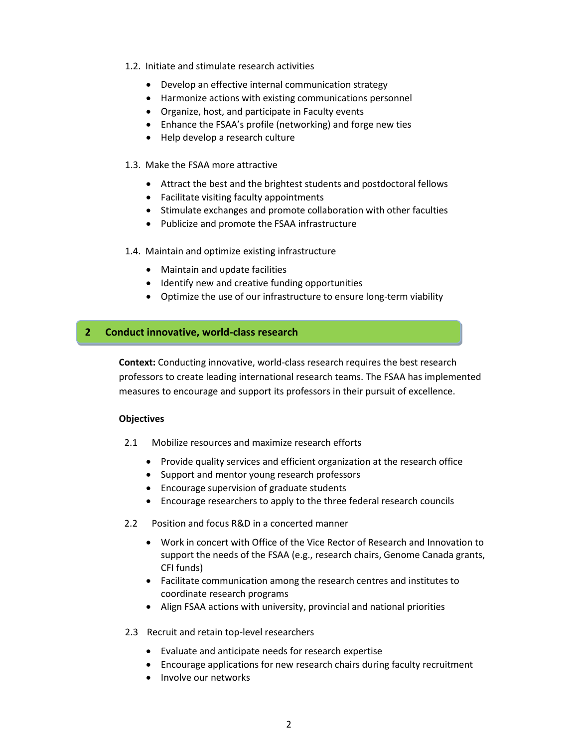- 1.2. Initiate and stimulate research activities
	- Develop an effective internal communication strategy
	- Harmonize actions with existing communications personnel
	- Organize, host, and participate in Faculty events
	- Enhance the FSAA's profile (networking) and forge new ties
	- Help develop a research culture

#### 1.3. Make the FSAA more attractive

- Attract the best and the brightest students and postdoctoral fellows
- Facilitate visiting faculty appointments
- Stimulate exchanges and promote collaboration with other faculties
- Publicize and promote the FSAA infrastructure

#### 1.4. Maintain and optimize existing infrastructure

- Maintain and update facilities
- Identify new and creative funding opportunities
- Optimize the use of our infrastructure to ensure long-term viability

#### **2 Conduct innovative, world-class research**

**Context:** Conducting innovative, world-class research requires the best research professors to create leading international research teams. The FSAA has implemented measures to encourage and support its professors in their pursuit of excellence.

#### **Objectives**

- 2.1 Mobilize resources and maximize research efforts
	- Provide quality services and efficient organization at the research office
	- Support and mentor young research professors
	- Encourage supervision of graduate students
	- Encourage researchers to apply to the three federal research councils
- 2.2 Position and focus R&D in a concerted manner
	- Work in concert with Office of the Vice Rector of Research and Innovation to support the needs of the FSAA (e.g., research chairs, Genome Canada grants, CFI funds)
	- Facilitate communication among the research centres and institutes to coordinate research programs
	- Align FSAA actions with university, provincial and national priorities

#### 2.3 Recruit and retain top-level researchers

- Evaluate and anticipate needs for research expertise
- Encourage applications for new research chairs during faculty recruitment
- Involve our networks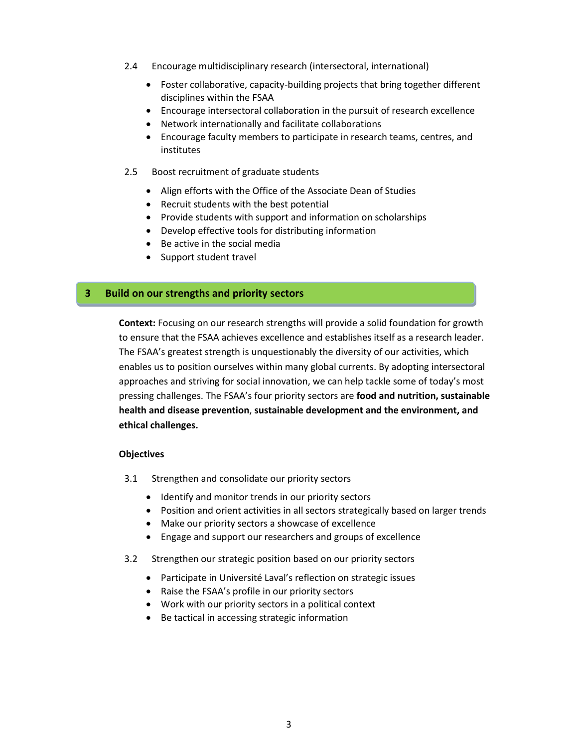- 2.4 Encourage multidisciplinary research (intersectoral, international)
	- Foster collaborative, capacity-building projects that bring together different disciplines within the FSAA
	- Encourage intersectoral collaboration in the pursuit of research excellence
	- Network internationally and facilitate collaborations
	- Encourage faculty members to participate in research teams, centres, and institutes
- 2.5 Boost recruitment of graduate students
	- Align efforts with the Office of the Associate Dean of Studies
	- Recruit students with the best potential
	- Provide students with support and information on scholarships
	- Develop effective tools for distributing information
	- Be active in the social media
	- Support student travel

## **3 Build on our strengths and priority sectors**

**Context:** Focusing on our research strengths will provide a solid foundation for growth to ensure that the FSAA achieves excellence and establishes itself as a research leader. The FSAA's greatest strength is unquestionably the diversity of our activities, which enables us to position ourselves within many global currents. By adopting intersectoral approaches and striving for social innovation, we can help tackle some of today's most pressing challenges. The FSAA's four priority sectors are **food and nutrition, sustainable health and disease prevention**, **sustainable development and the environment, and ethical challenges.**

#### **Objectives**

- 3.1 Strengthen and consolidate our priority sectors
	- Identify and monitor trends in our priority sectors
	- Position and orient activities in all sectors strategically based on larger trends
	- Make our priority sectors a showcase of excellence
	- Engage and support our researchers and groups of excellence
- 3.2 Strengthen our strategic position based on our priority sectors
	- Participate in Université Laval's reflection on strategic issues
	- Raise the FSAA's profile in our priority sectors
	- Work with our priority sectors in a political context
	- Be tactical in accessing strategic information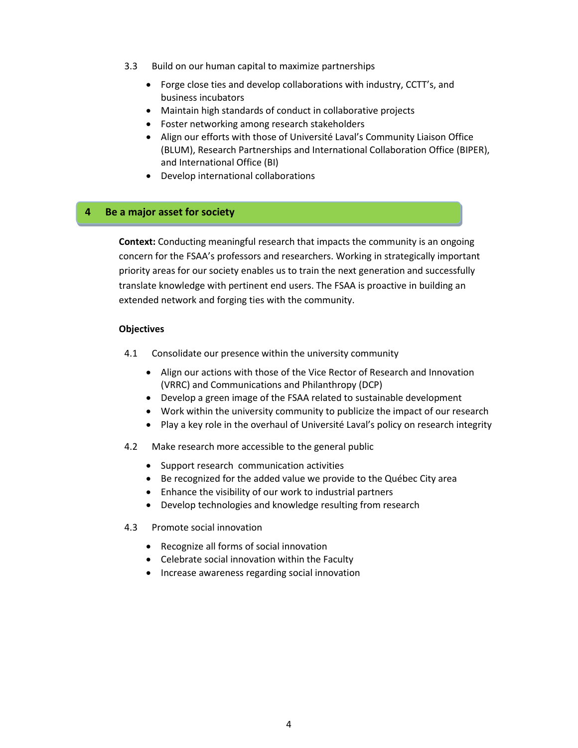- 3.3 Build on our human capital to maximize partnerships
	- Forge close ties and develop collaborations with industry, CCTT's, and business incubators
	- Maintain high standards of conduct in collaborative projects
	- Foster networking among research stakeholders
	- Align our efforts with those of Université Laval's Community Liaison Office (BLUM), Research Partnerships and International Collaboration Office (BIPER), and International Office (BI)
	- Develop international collaborations

#### **4 Be a major asset for society**

**Context:** Conducting meaningful research that impacts the community is an ongoing concern for the FSAA's professors and researchers. Working in strategically important priority areas for our society enables us to train the next generation and successfully translate knowledge with pertinent end users. The FSAA is proactive in building an extended network and forging ties with the community.

#### **Objectives**

- 4.1 Consolidate our presence within the university community
	- Align our actions with those of the Vice Rector of Research and Innovation (VRRC) and Communications and Philanthropy (DCP)
	- Develop a green image of the FSAA related to sustainable development
	- Work within the university community to publicize the impact of our research
	- Play a key role in the overhaul of Université Laval's policy on research integrity
- 4.2 Make research more accessible to the general public
	- Support research communication activities
	- Be recognized for the added value we provide to the Québec City area
	- Enhance the visibility of our work to industrial partners
	- Develop technologies and knowledge resulting from research
- 4.3 Promote social innovation
	- Recognize all forms of social innovation
	- Celebrate social innovation within the Faculty
	- Increase awareness regarding social innovation